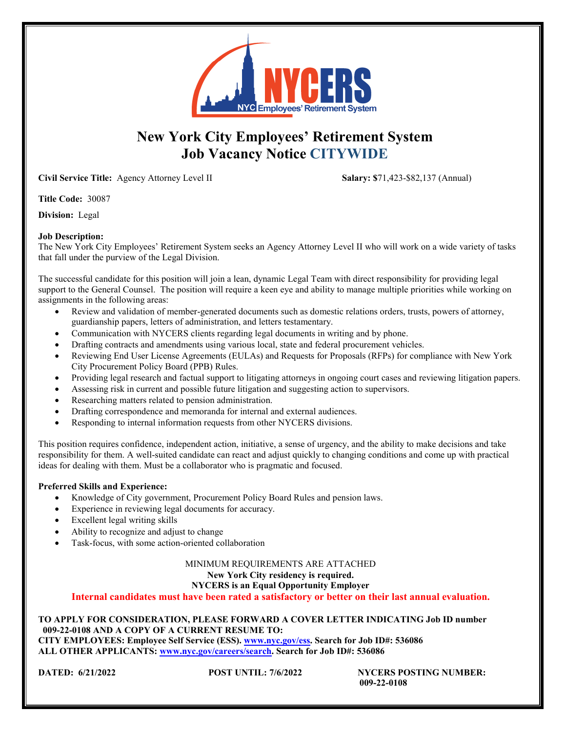

# **New York City Employees' Retirement System Job Vacancy Notice CITYWIDE**

**Civil Service Title:** Agency Attorney Level II **Salary: \$**71,423-\$82,137 (Annual)

**Title Code:** 30087

**Division:** Legal

## **Job Description:**

The New York City Employees' Retirement System seeks an Agency Attorney Level II who will work on a wide variety of tasks that fall under the purview of the Legal Division.

The successful candidate for this position will join a lean, dynamic Legal Team with direct responsibility for providing legal support to the General Counsel. The position will require a keen eye and ability to manage multiple priorities while working on assignments in the following areas:

- Review and validation of member-generated documents such as domestic relations orders, trusts, powers of attorney, guardianship papers, letters of administration, and letters testamentary.
- Communication with NYCERS clients regarding legal documents in writing and by phone.
- Drafting contracts and amendments using various local, state and federal procurement vehicles.
- Reviewing End User License Agreements (EULAs) and Requests for Proposals (RFPs) for compliance with New York City Procurement Policy Board (PPB) Rules.
- Providing legal research and factual support to litigating attorneys in ongoing court cases and reviewing litigation papers.
- Assessing risk in current and possible future litigation and suggesting action to supervisors.
- Researching matters related to pension administration.
- Drafting correspondence and memoranda for internal and external audiences.
- Responding to internal information requests from other NYCERS divisions.

This position requires confidence, independent action, initiative, a sense of urgency, and the ability to make decisions and take responsibility for them. A well-suited candidate can react and adjust quickly to changing conditions and come up with practical ideas for dealing with them. Must be a collaborator who is pragmatic and focused.

## **Preferred Skills and Experience:**

- Knowledge of City government, Procurement Policy Board Rules and pension laws.
- Experience in reviewing legal documents for accuracy.
- Excellent legal writing skills
- Ability to recognize and adjust to change
- Task-focus, with some action-oriented collaboration

#### MINIMUM REQUIREMENTS ARE ATTACHED **New York City residency is required. NYCERS is an Equal Opportunity Employer**

**Internal candidates must have been rated a satisfactory or better on their last annual evaluation.**

## **TO APPLY FOR CONSIDERATION, PLEASE FORWARD A COVER LETTER INDICATING Job ID number 009-22-0108 AND A COPY OF A CURRENT RESUME TO:**

**CITY EMPLOYEES: Employee Self Service (ESS). [www.nyc.gov/ess.](http://www.nyc.gov/ess) Search for Job ID#: 536086 ALL OTHER APPLICANTS: [www.nyc.gov/careers/search.](http://www.nyc.gov/careers/search) Search for Job ID#: 536086**

**DATED: 6/21/2022 POST UNTIL: 7/6/2022 NYCERS POSTING NUMBER: 009-22-0108**